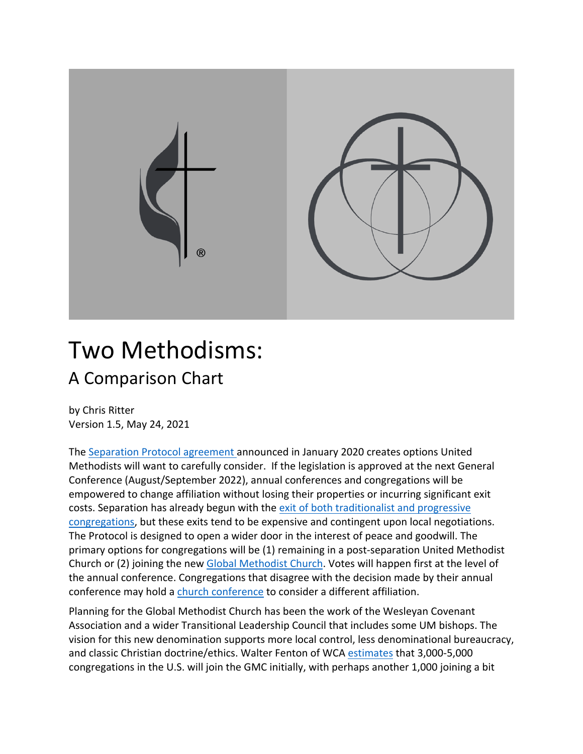

## Two Methodisms: A Comparison Chart

by Chris Ritter Version 1.5, May 24, 2021

The Separation Protocol agreement announced in January 2020 creates options United Methodists will want to carefully consider. If the legislation is approved at the next General Conference (August/September 2022), annual conferences and congregations will be empowered to change affiliation without losing their properties or incurring significant exit costs. Separation has already begun with the exit of both traditionalist and progressive congregations, but these exits tend to be expensive and contingent upon local negotiations. The Protocol is designed to open a wider door in the interest of peace and goodwill. The primary options for congregations will be (1) remaining in a post-separation United Methodist Church or (2) joining the new Global Methodist Church. Votes will happen first at the level of the annual conference. Congregations that disagree with the decision made by their annual conference may hold a church conference to consider a different affiliation.

Planning for the Global Methodist Church has been the work of the Wesleyan Covenant Association and a wider Transitional Leadership Council that includes some UM bishops. The vision for this new denomination supports more local control, less denominational bureaucracy, and classic Christian doctrine/ethics. Walter Fenton of WCA estimates that 3,000-5,000 congregations in the U.S. will join the GMC initially, with perhaps another 1,000 joining a bit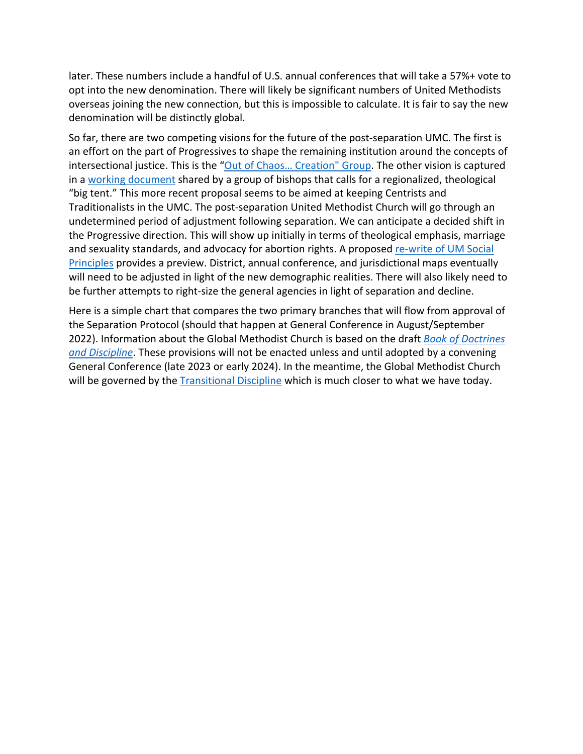later. These numbers include a handful of U.S. annual conferences that will take a 57%+ vote to opt into the new denomination. There will likely be significant numbers of United Methodists overseas joining the new connection, but this is impossible to calculate. It is fair to say the new denomination will be distinctly global.

So far, there are two competing visions for the future of the post-separation UMC. The first is an effort on the part of Progressives to shape the remaining institution around the concepts of intersectional justice. This is the "Out of Chaos… Creation" Group. The other vision is captured in a working document shared by a group of bishops that calls for a regionalized, theological "big tent." This more recent proposal seems to be aimed at keeping Centrists and Traditionalists in the UMC. The post-separation United Methodist Church will go through an undetermined period of adjustment following separation. We can anticipate a decided shift in the Progressive direction. This will show up initially in terms of theological emphasis, marriage and sexuality standards, and advocacy for abortion rights. A proposed re-write of UM Social Principles provides a preview. District, annual conference, and jurisdictional maps eventually will need to be adjusted in light of the new demographic realities. There will also likely need to be further attempts to right-size the general agencies in light of separation and decline.

Here is a simple chart that compares the two primary branches that will flow from approval of the Separation Protocol (should that happen at General Conference in August/September 2022). Information about the Global Methodist Church is based on the draft *Book of Doctrines and Discipline*. These provisions will not be enacted unless and until adopted by a convening General Conference (late 2023 or early 2024). In the meantime, the Global Methodist Church will be governed by the Transitional Discipline which is much closer to what we have today.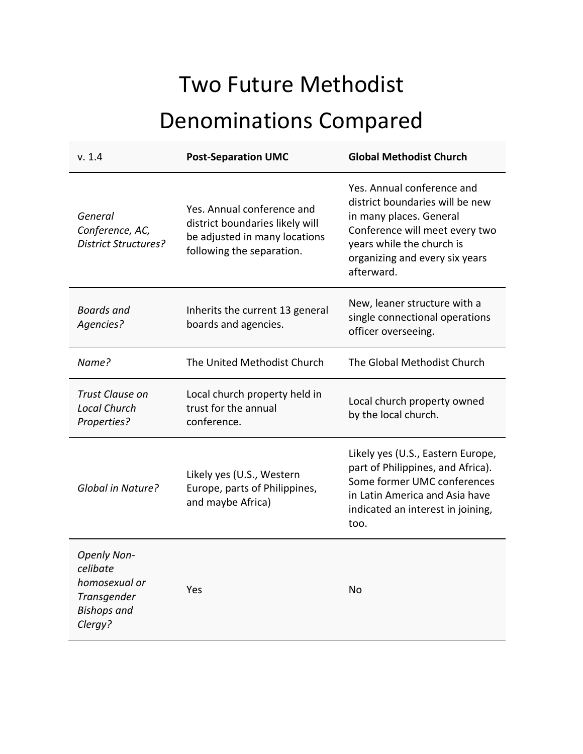## Two Future Methodist Denominations Compared

| v. 1.4                                                                                          | <b>Post-Separation UMC</b>                                                                                                  | <b>Global Methodist Church</b>                                                                                                                                                                          |
|-------------------------------------------------------------------------------------------------|-----------------------------------------------------------------------------------------------------------------------------|---------------------------------------------------------------------------------------------------------------------------------------------------------------------------------------------------------|
| General<br>Conference, AC,<br><b>District Structures?</b>                                       | Yes. Annual conference and<br>district boundaries likely will<br>be adjusted in many locations<br>following the separation. | Yes. Annual conference and<br>district boundaries will be new<br>in many places. General<br>Conference will meet every two<br>years while the church is<br>organizing and every six years<br>afterward. |
| <b>Boards</b> and<br>Agencies?                                                                  | Inherits the current 13 general<br>boards and agencies.                                                                     | New, leaner structure with a<br>single connectional operations<br>officer overseeing.                                                                                                                   |
| Name?                                                                                           | The United Methodist Church                                                                                                 | The Global Methodist Church                                                                                                                                                                             |
| Trust Clause on<br><b>Local Church</b><br>Properties?                                           | Local church property held in<br>trust for the annual<br>conference.                                                        | Local church property owned<br>by the local church.                                                                                                                                                     |
| Global in Nature?                                                                               | Likely yes (U.S., Western<br>Europe, parts of Philippines,<br>and maybe Africa)                                             | Likely yes (U.S., Eastern Europe,<br>part of Philippines, and Africa).<br>Some former UMC conferences<br>in Latin America and Asia have<br>indicated an interest in joining,<br>too.                    |
| <b>Openly Non-</b><br>celibate<br>homosexual or<br>Transgender<br><b>Bishops</b> and<br>Clergy? | Yes                                                                                                                         | No                                                                                                                                                                                                      |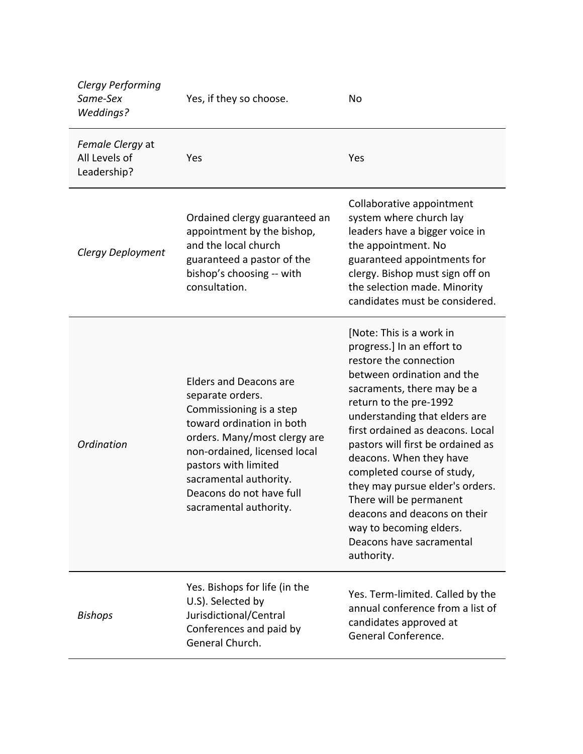| <b>Clergy Performing</b><br>Same-Sex<br><b>Weddings?</b> | Yes, if they so choose.                                                                                                                                                                                                                                                           | No                                                                                                                                                                                                                                                                                                                                                                                                                                                                                                           |
|----------------------------------------------------------|-----------------------------------------------------------------------------------------------------------------------------------------------------------------------------------------------------------------------------------------------------------------------------------|--------------------------------------------------------------------------------------------------------------------------------------------------------------------------------------------------------------------------------------------------------------------------------------------------------------------------------------------------------------------------------------------------------------------------------------------------------------------------------------------------------------|
| Female Clergy at<br>All Levels of<br>Leadership?         | Yes                                                                                                                                                                                                                                                                               | Yes                                                                                                                                                                                                                                                                                                                                                                                                                                                                                                          |
| Clergy Deployment                                        | Ordained clergy guaranteed an<br>appointment by the bishop,<br>and the local church<br>guaranteed a pastor of the<br>bishop's choosing -- with<br>consultation.                                                                                                                   | Collaborative appointment<br>system where church lay<br>leaders have a bigger voice in<br>the appointment. No<br>guaranteed appointments for<br>clergy. Bishop must sign off on<br>the selection made. Minority<br>candidates must be considered.                                                                                                                                                                                                                                                            |
| Ordination                                               | <b>Elders and Deacons are</b><br>separate orders.<br>Commissioning is a step<br>toward ordination in both<br>orders. Many/most clergy are<br>non-ordained, licensed local<br>pastors with limited<br>sacramental authority.<br>Deacons do not have full<br>sacramental authority. | [Note: This is a work in<br>progress.] In an effort to<br>restore the connection<br>between ordination and the<br>sacraments, there may be a<br>return to the pre-1992<br>understanding that elders are<br>first ordained as deacons. Local<br>pastors will first be ordained as<br>deacons. When they have<br>completed course of study,<br>they may pursue elder's orders.<br>There will be permanent<br>deacons and deacons on their<br>way to becoming elders.<br>Deacons have sacramental<br>authority. |
| <b>Bishops</b>                                           | Yes. Bishops for life (in the<br>U.S). Selected by<br>Jurisdictional/Central<br>Conferences and paid by<br>General Church.                                                                                                                                                        | Yes. Term-limited. Called by the<br>annual conference from a list of<br>candidates approved at<br>General Conference.                                                                                                                                                                                                                                                                                                                                                                                        |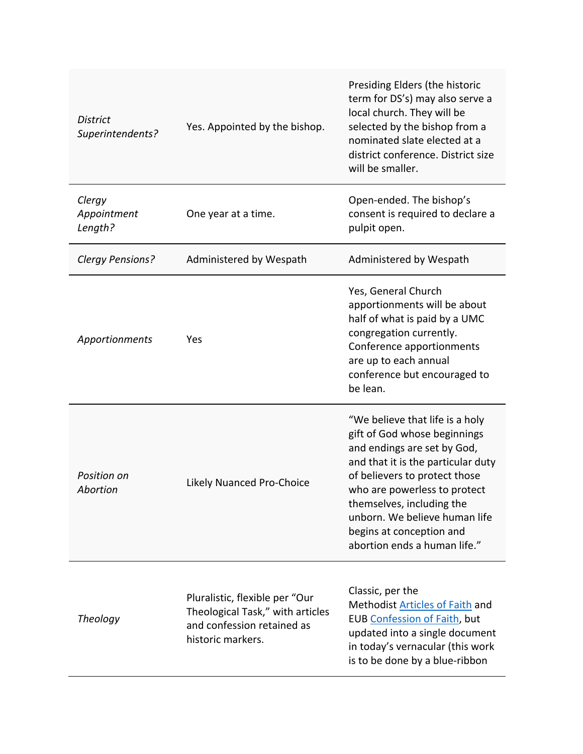| <b>District</b><br>Superintendents? | Yes. Appointed by the bishop.                                                                                         | Presiding Elders (the historic<br>term for DS's) may also serve a<br>local church. They will be<br>selected by the bishop from a<br>nominated slate elected at a<br>district conference. District size<br>will be smaller.                                                                                                      |
|-------------------------------------|-----------------------------------------------------------------------------------------------------------------------|---------------------------------------------------------------------------------------------------------------------------------------------------------------------------------------------------------------------------------------------------------------------------------------------------------------------------------|
| Clergy<br>Appointment<br>Length?    | One year at a time.                                                                                                   | Open-ended. The bishop's<br>consent is required to declare a<br>pulpit open.                                                                                                                                                                                                                                                    |
| Clergy Pensions?                    | Administered by Wespath                                                                                               | Administered by Wespath                                                                                                                                                                                                                                                                                                         |
| Apportionments                      | Yes                                                                                                                   | Yes, General Church<br>apportionments will be about<br>half of what is paid by a UMC<br>congregation currently.<br>Conference apportionments<br>are up to each annual<br>conference but encouraged to<br>be lean.                                                                                                               |
| Position on<br>Abortion             | <b>Likely Nuanced Pro-Choice</b>                                                                                      | "We believe that life is a holy<br>gift of God whose beginnings<br>and endings are set by God,<br>and that it is the particular duty<br>of believers to protect those<br>who are powerless to protect<br>themselves, including the<br>unborn. We believe human life<br>begins at conception and<br>abortion ends a human life." |
| <b>Theology</b>                     | Pluralistic, flexible per "Our<br>Theological Task," with articles<br>and confession retained as<br>historic markers. | Classic, per the<br>Methodist Articles of Faith and<br>EUB Confession of Faith, but<br>updated into a single document<br>in today's vernacular (this work<br>is to be done by a blue-ribbon                                                                                                                                     |